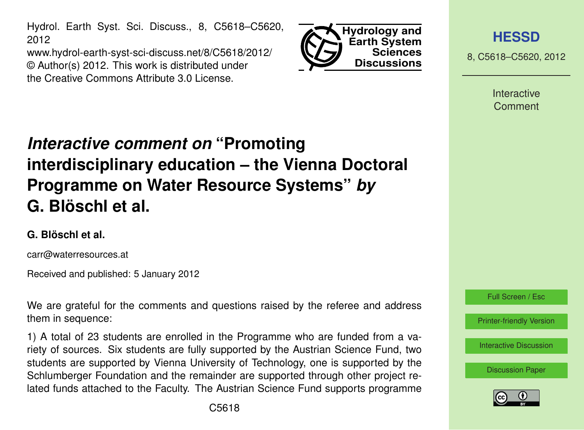Hydrol. Earth Syst. Sci. Discuss., 8, C5618–C5620, 2012

www.hydrol-earth-syst-sci-discuss.net/8/C5618/2012/ © Author(s) 2012. This work is distributed under the Creative Commons Attribute 3.0 License.



**[HESSD](http://www.hydrol-earth-syst-sci-discuss.net)**

8, C5618–C5620, 2012

**Interactive** Comment

## *Interactive comment on* **"Promoting interdisciplinary education – the Vienna Doctoral Programme on Water Resource Systems"** *by* **G. Blöschl et al.**

## **G. Blöschl et al.**

carr@waterresources.at

Received and published: 5 January 2012

We are grateful for the comments and questions raised by the referee and address them in sequence:

1) A total of 23 students are enrolled in the Programme who are funded from a variety of sources. Six students are fully supported by the Austrian Science Fund, two students are supported by Vienna University of Technology, one is supported by the Schlumberger Foundation and the remainder are supported through other project related funds attached to the Faculty. The Austrian Science Fund supports programme



[Discussion Paper](http://www.hydrol-earth-syst-sci-discuss.net/8/9843/2011/hessd-8-9843-2011.pdf)

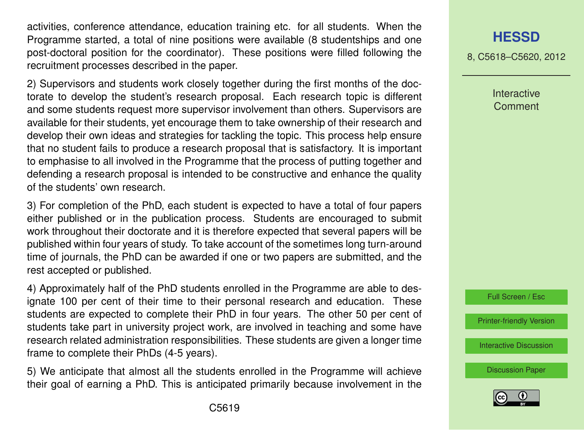activities, conference attendance, education training etc. for all students. When the Programme started, a total of nine positions were available (8 studentships and one post-doctoral position for the coordinator). These positions were filled following the recruitment processes described in the paper.

2) Supervisors and students work closely together during the first months of the doctorate to develop the student's research proposal. Each research topic is different and some students request more supervisor involvement than others. Supervisors are available for their students, yet encourage them to take ownership of their research and develop their own ideas and strategies for tackling the topic. This process help ensure that no student fails to produce a research proposal that is satisfactory. It is important to emphasise to all involved in the Programme that the process of putting together and defending a research proposal is intended to be constructive and enhance the quality of the students' own research.

3) For completion of the PhD, each student is expected to have a total of four papers either published or in the publication process. Students are encouraged to submit work throughout their doctorate and it is therefore expected that several papers will be published within four years of study. To take account of the sometimes long turn-around time of journals, the PhD can be awarded if one or two papers are submitted, and the rest accepted or published.

4) Approximately half of the PhD students enrolled in the Programme are able to designate 100 per cent of their time to their personal research and education. These students are expected to complete their PhD in four years. The other 50 per cent of students take part in university project work, are involved in teaching and some have research related administration responsibilities. These students are given a longer time frame to complete their PhDs (4-5 years).

5) We anticipate that almost all the students enrolled in the Programme will achieve their goal of earning a PhD. This is anticipated primarily because involvement in the

## **[HESSD](http://www.hydrol-earth-syst-sci-discuss.net)**

8, C5618–C5620, 2012

Interactive **Comment** 



[Printer-friendly Version](http://www.hydrol-earth-syst-sci-discuss.net/8/C5618/2012/hessd-8-C5618-2012-print.pdf)

[Interactive Discussion](http://www.hydrol-earth-syst-sci-discuss.net/8/9843/2011/hessd-8-9843-2011-discussion.html)

[Discussion Paper](http://www.hydrol-earth-syst-sci-discuss.net/8/9843/2011/hessd-8-9843-2011.pdf)